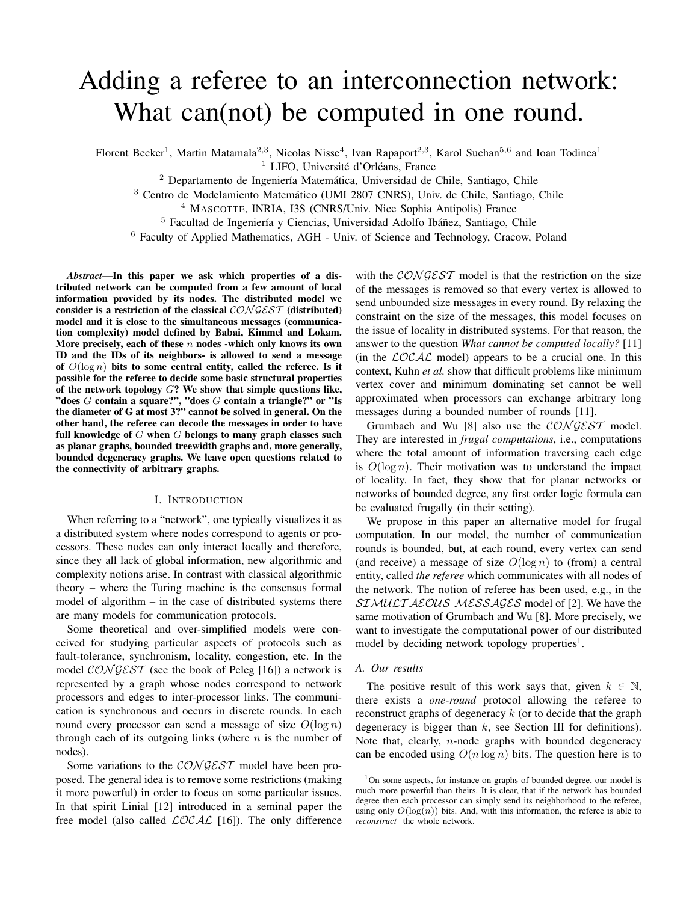# Adding a referee to an interconnection network: What can(not) be computed in one round.

Florent Becker<sup>1</sup>, Martin Matamala<sup>2,3</sup>, Nicolas Nisse<sup>4</sup>, Ivan Rapaport<sup>2,3</sup>, Karol Suchan<sup>5,6</sup> and Ioan Todinca<sup>1</sup>

 $1$  LIFO, Université d'Orléans, France

 $2$  Departamento de Ingeniería Matemática, Universidad de Chile, Santiago, Chile

<sup>3</sup> Centro de Modelamiento Matemático (UMI 2807 CNRS), Univ. de Chile, Santiago, Chile

<sup>4</sup> MASCOTTE, INRIA, I3S (CNRS/Univ. Nice Sophia Antipolis) France

 $<sup>5</sup>$  Facultad de Ingeniería y Ciencias, Universidad Adolfo Ibáñez, Santiago, Chile</sup>

<sup>6</sup> Faculty of Applied Mathematics, AGH - Univ. of Science and Technology, Cracow, Poland

*Abstract*—In this paper we ask which properties of a distributed network can be computed from a few amount of local information provided by its nodes. The distributed model we consider is a restriction of the classical *CON GEST* (distributed) model and it is close to the simultaneous messages (communication complexity) model defined by Babai, Kimmel and Lokam. More precisely, each of these *n* nodes -which only knows its own ID and the IDs of its neighbors- is allowed to send a message of  $O(\log n)$  bits to some central entity, called the referee. Is it possible for the referee to decide some basic structural properties of the network topology *G*? We show that simple questions like, "does *G* contain a square?", "does *G* contain a triangle?" or "Is the diameter of G at most 3?" cannot be solved in general. On the other hand, the referee can decode the messages in order to have full knowledge of *G* when *G* belongs to many graph classes such as planar graphs, bounded treewidth graphs and, more generally, bounded degeneracy graphs. We leave open questions related to the connectivity of arbitrary graphs.

## I. INTRODUCTION

When referring to a "network", one typically visualizes it as a distributed system where nodes correspond to agents or processors. These nodes can only interact locally and therefore, since they all lack of global information, new algorithmic and complexity notions arise. In contrast with classical algorithmic theory – where the Turing machine is the consensus formal model of algorithm – in the case of distributed systems there are many models for communication protocols.

Some theoretical and over-simplified models were conceived for studying particular aspects of protocols such as fault-tolerance, synchronism, locality, congestion, etc. In the model  $\mathcal{CONGEST}$  (see the book of Peleg [16]) a network is represented by a graph whose nodes correspond to network processors and edges to inter-processor links. The communication is synchronous and occurs in discrete rounds. In each round every processor can send a message of size  $O(\log n)$ through each of its outgoing links (where *n* is the number of nodes).

Some variations to the  $\mathcal{CONGEST}$  model have been proposed. The general idea is to remove some restrictions (making it more powerful) in order to focus on some particular issues. In that spirit Linial [12] introduced in a seminal paper the free model (also called  $\mathcal{LOCAL}$  [16]). The only difference

with the  $CONGEST$  model is that the restriction on the size of the messages is removed so that every vertex is allowed to send unbounded size messages in every round. By relaxing the constraint on the size of the messages, this model focuses on the issue of locality in distributed systems. For that reason, the answer to the question *What cannot be computed locally?* [11] (in the  $\angle OCAC$  model) appears to be a crucial one. In this context, Kuhn *et al.* show that difficult problems like minimum vertex cover and minimum dominating set cannot be well approximated when processors can exchange arbitrary long messages during a bounded number of rounds [11].

Grumbach and Wu [8] also use the  $CONGEST$  model. They are interested in *frugal computations*, i.e., computations where the total amount of information traversing each edge is  $O(\log n)$ . Their motivation was to understand the impact of locality. In fact, they show that for planar networks or networks of bounded degree, any first order logic formula can be evaluated frugally (in their setting).

We propose in this paper an alternative model for frugal computation. In our model, the number of communication rounds is bounded, but, at each round, every vertex can send (and receive) a message of size  $O(\log n)$  to (from) a central entity, called *the referee* which communicates with all nodes of the network. The notion of referee has been used, e.g., in the  $SIMULTAEOUS MESSAGES$  model of [2]. We have the same motivation of Grumbach and Wu [8]. More precisely, we want to investigate the computational power of our distributed model by deciding network topology properties<sup>1</sup>.

## *A. Our results*

The positive result of this work says that, given  $k \in \mathbb{N}$ , there exists a *one-round* protocol allowing the referee to reconstruct graphs of degeneracy *k* (or to decide that the graph degeneracy is bigger than *k*, see Section III for definitions). Note that, clearly, *n*-node graphs with bounded degeneracy can be encoded using  $O(n \log n)$  bits. The question here is to

<sup>&</sup>lt;sup>1</sup>On some aspects, for instance on graphs of bounded degree, our model is much more powerful than theirs. It is clear, that if the network has bounded degree then each processor can simply send its neighborhood to the referee, using only  $O(log(n))$  bits. And, with this information, the referee is able to *reconstruct* the whole network.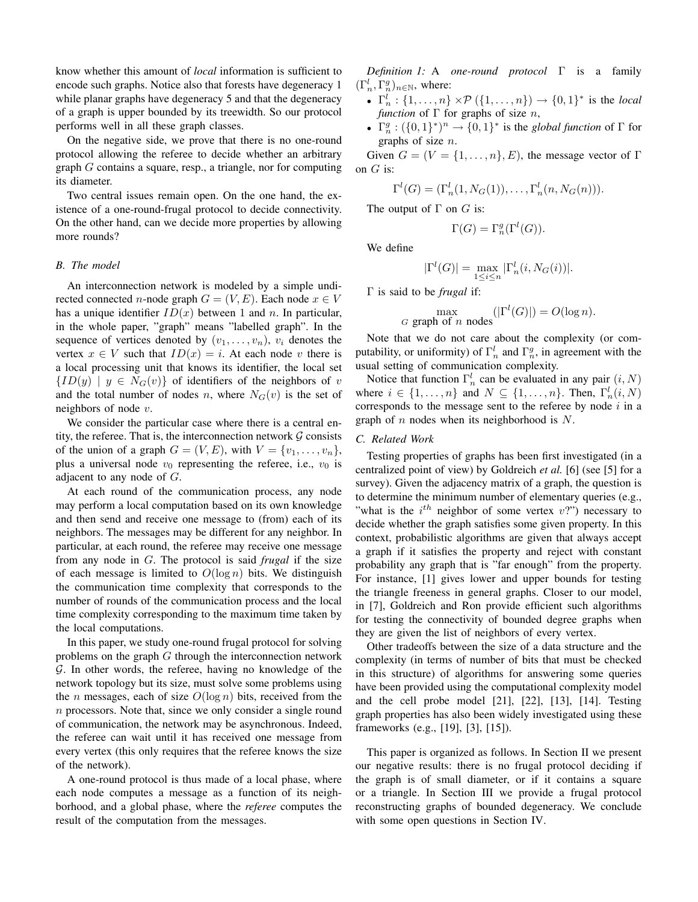know whether this amount of *local* information is sufficient to encode such graphs. Notice also that forests have degeneracy 1 while planar graphs have degeneracy 5 and that the degeneracy of a graph is upper bounded by its treewidth. So our protocol performs well in all these graph classes.

On the negative side, we prove that there is no one-round protocol allowing the referee to decide whether an arbitrary graph *G* contains a square, resp., a triangle, nor for computing its diameter.

Two central issues remain open. On the one hand, the existence of a one-round-frugal protocol to decide connectivity. On the other hand, can we decide more properties by allowing more rounds?

## *B. The model*

An interconnection network is modeled by a simple undirected connected *n*-node graph  $G = (V, E)$ . Each node  $x \in V$ has a unique identifier  $ID(x)$  between 1 and *n*. In particular, in the whole paper, "graph" means "labelled graph". In the sequence of vertices denoted by  $(v_1, \ldots, v_n)$ ,  $v_i$  denotes the vertex  $x \in V$  such that  $ID(x) = i$ . At each node *v* there is a local processing unit that knows its identifier, the local set  ${I}D(y)$  |  $y \in N_G(v)$ } of identifiers of the neighbors of *v* and the total number of nodes *n*, where  $N_G(v)$  is the set of neighbors of node *v*.

We consider the particular case where there is a central entity, the referee. That is, the interconnection network  $\mathcal G$  consists of the union of a graph  $G = (V, E)$ , with  $V = \{v_1, \ldots, v_n\}$ , plus a universal node  $v_0$  representing the referee, i.e.,  $v_0$  is adjacent to any node of *G*.

At each round of the communication process, any node may perform a local computation based on its own knowledge and then send and receive one message to (from) each of its neighbors. The messages may be different for any neighbor. In particular, at each round, the referee may receive one message from any node in *G*. The protocol is said *frugal* if the size of each message is limited to  $O(\log n)$  bits. We distinguish the communication time complexity that corresponds to the number of rounds of the communication process and the local time complexity corresponding to the maximum time taken by the local computations.

In this paper, we study one-round frugal protocol for solving problems on the graph *G* through the interconnection network G. In other words, the referee, having no knowledge of the network topology but its size, must solve some problems using the *n* messages, each of size  $O(\log n)$  bits, received from the *n* processors. Note that, since we only consider a single round of communication, the network may be asynchronous. Indeed, the referee can wait until it has received one message from every vertex (this only requires that the referee knows the size of the network).

A one-round protocol is thus made of a local phase, where each node computes a message as a function of its neighborhood, and a global phase, where the *referee* computes the result of the computation from the messages.

*Definition 1:* A *one-round protocol* Γ is a family  $(\Gamma_n^l, \Gamma_n^g)_{n \in \mathbb{N}}$ , where:

- $\Gamma_n^l : \{1, ..., n\} \times \mathcal{P}(\{1, ..., n\}) \to \{0, 1\}^*$  is the *local function* of Γ for graphs of size *n*,
- $\Gamma_n^g : (\{0,1\}^*)^n \to \{0,1\}^*$  is the *global function* of  $\Gamma$  for graphs of size *n*.

Given  $G = (V = \{1, \ldots, n\}, E)$ , the message vector of  $\Gamma$ on *G* is:

$$
\Gamma^l(G) = (\Gamma^l_n(1, N_G(1)), \dots, \Gamma^l_n(n, N_G(n))).
$$

The output of Γ on *G* is:

$$
\Gamma(G) = \Gamma_n^g(\Gamma^l(G)).
$$

We define

$$
|\Gamma^l(G)| = \max_{1 \le i \le n} |\Gamma_n^l(i, N_G(i))|.
$$

Γ is said to be *frugal* if:

$$
\max_{G \text{ graph of } n \text{ nodes}} (|\Gamma^l(G)|) = O(\log n).
$$

Note that we do not care about the complexity (or computability, or uniformity) of  $\Gamma_n^l$  and  $\Gamma_n^g$ , in agreement with the usual setting of communication complexity.

Notice that function  $\Gamma_n^l$  can be evaluated in any pair  $(i, N)$ where  $i \in \{1, \ldots, n\}$  and  $N \subseteq \{1, \ldots, n\}$ . Then,  $\Gamma_n^l(i, N)$ corresponds to the message sent to the referee by node *i* in a graph of *n* nodes when its neighborhood is *N*.

## *C. Related Work*

Testing properties of graphs has been first investigated (in a centralized point of view) by Goldreich *et al.* [6] (see [5] for a survey). Given the adjacency matrix of a graph, the question is to determine the minimum number of elementary queries (e.g., "what is the *i*<sup>th</sup> neighbor of some vertex *v*?") necessary to decide whether the graph satisfies some given property. In this context, probabilistic algorithms are given that always accept a graph if it satisfies the property and reject with constant probability any graph that is "far enough" from the property. For instance, [1] gives lower and upper bounds for testing the triangle freeness in general graphs. Closer to our model, in [7], Goldreich and Ron provide efficient such algorithms for testing the connectivity of bounded degree graphs when they are given the list of neighbors of every vertex.

Other tradeoffs between the size of a data structure and the complexity (in terms of number of bits that must be checked in this structure) of algorithms for answering some queries have been provided using the computational complexity model and the cell probe model [21], [22], [13], [14]. Testing graph properties has also been widely investigated using these frameworks (e.g., [19], [3], [15]).

This paper is organized as follows. In Section II we present our negative results: there is no frugal protocol deciding if the graph is of small diameter, or if it contains a square or a triangle. In Section III we provide a frugal protocol reconstructing graphs of bounded degeneracy. We conclude with some open questions in Section IV.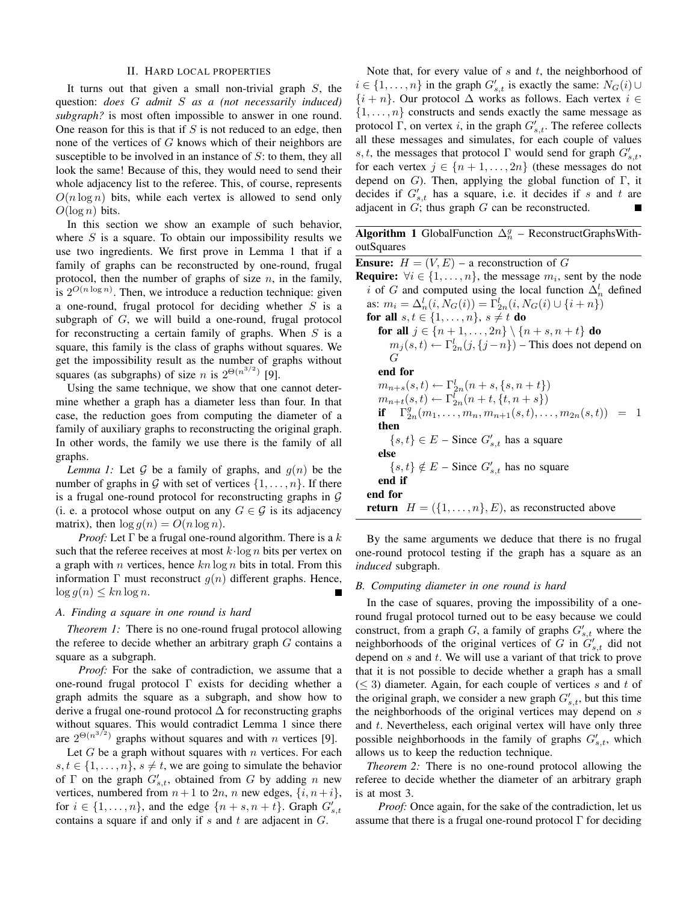### II. HARD LOCAL PROPERTIES

It turns out that given a small non-trivial graph *S*, the question: *does G admit S as a (not necessarily induced) subgraph?* is most often impossible to answer in one round. One reason for this is that if *S* is not reduced to an edge, then none of the vertices of *G* knows which of their neighbors are susceptible to be involved in an instance of *S*: to them, they all look the same! Because of this, they would need to send their whole adjacency list to the referee. This, of course, represents  $O(n \log n)$  bits, while each vertex is allowed to send only  $O(\log n)$  bits.

In this section we show an example of such behavior, where *S* is a square. To obtain our impossibility results we use two ingredients. We first prove in Lemma 1 that if a family of graphs can be reconstructed by one-round, frugal protocol, then the number of graphs of size *n*, in the family, is  $2^{O(n \log n)}$ . Then, we introduce a reduction technique: given a one-round, frugal protocol for deciding whether *S* is a subgraph of *G*, we will build a one-round, frugal protocol for reconstructing a certain family of graphs. When *S* is a square, this family is the class of graphs without squares. We get the impossibility result as the number of graphs without squares (as subgraphs) of size *n* is  $2^{\Theta(n^{3/2})}$  [9].

Using the same technique, we show that one cannot determine whether a graph has a diameter less than four. In that case, the reduction goes from computing the diameter of a family of auxiliary graphs to reconstructing the original graph. In other words, the family we use there is the family of all graphs.

*Lemma 1:* Let G be a family of graphs, and  $g(n)$  be the number of graphs in G with set of vertices  $\{1, \ldots, n\}$ . If there is a frugal one-round protocol for reconstructing graphs in  $G$ (i. e. a protocol whose output on any  $G \in \mathcal{G}$  is its adjacency matrix), then  $\log g(n) = O(n \log n)$ .

*Proof:* Let Γ be a frugal one-round algorithm. There is a *k* such that the referee receives at most *k*·log *n* bits per vertex on a graph with *n* vertices, hence *kn* log *n* bits in total. From this information  $\Gamma$  must reconstruct  $g(n)$  different graphs. Hence,  $\log g(n) \leq kn \log n$ .

## *A. Finding a square in one round is hard*

*Theorem 1:* There is no one-round frugal protocol allowing the referee to decide whether an arbitrary graph *G* contains a square as a subgraph.

*Proof:* For the sake of contradiction, we assume that a one-round frugal protocol  $\Gamma$  exists for deciding whether a graph admits the square as a subgraph, and show how to derive a frugal one-round protocol  $\Delta$  for reconstructing graphs without squares. This would contradict Lemma 1 since there are  $2^{\Theta(n^{3/2})}$  graphs without squares and with *n* vertices [9].

Let *G* be a graph without squares with *n* vertices. For each  $s, t \in \{1, \ldots, n\}, s \neq t$ , we are going to simulate the behavior of  $\Gamma$  on the graph  $G'_{s,t}$ , obtained from  $G$  by adding  $n$  new vertices, numbered from  $n+1$  to  $2n$ ,  $n$  new edges,  $\{i, n+i\}$ , for  $i \in \{1, \ldots, n\}$ , and the edge  $\{n + s, n + t\}$ . Graph  $G'_{s,t}$ contains a square if and only if *s* and *t* are adjacent in *G*.

Note that, for every value of *s* and *t*, the neighborhood of *i* ∈ {1, . . . , *n*} in the graph  $G'_{s,t}$  is exactly the same:  $N_G(i)$ ∪ {*i* + *n*}. Our protocol ∆ works as follows. Each vertex *i* ∈  $\{1, \ldots, n\}$  constructs and sends exactly the same message as protocol Γ, on vertex *i*, in the graph  $G'_{s,t}$ . The referee collects all these messages and simulates, for each couple of values *s, t,* the messages that protocol  $\Gamma$  would send for graph  $G'_{s,t}$ , for each vertex  $j \in \{n+1, \ldots, 2n\}$  (these messages do not depend on *G*). Then, applying the global function of Γ, it decides if  $G'_{s,t}$  has a square, i.e. it decides if *s* and *t* are adjacent in *G*; thus graph *G* can be reconstructed.

Algorithm 1 GlobalFunction  $\Delta_n^g$  – ReconstructGraphsWithoutSquares

**Ensure:**  $H = (V, E)$  – a reconstruction of *G* **Require:**  $\forall i \in \{1, \ldots, n\}$ , the message  $m_i$ , sent by the node *i* of *G* and computed using the local function  $\Delta_n^l$  defined as:  $m_i = \Delta_n^l(i, N_G(i)) = \Gamma_{2n}^l(i, N_G(i) \cup \{i + n\})$ for all  $s, t \in \{1, ..., n\}, s \neq t$  do for all  $j \in \{n + 1, ..., 2n\} \setminus \{n + s, n + t\}$  do  $m_j(s,t) \leftarrow \Gamma_{2n}^l(j,\{j-n\})$  – This does not depend on *G* end for  $m_{n+s}(s,t) \leftarrow \Gamma_{2n}^l(n+s,\{s,n+t\})$  $m_{n+t}(s,t) \leftarrow \Gamma_{2n}^l(n+t, \{t, n+s\})$ if  $\Gamma^g_{2n}(m_1, \ldots, m_n, m_{n+1}(s, t), \ldots, m_{2n}(s, t)) = 1$ then  $\{s, t\} \in E$  – Since  $G'_{s,t}$  has a square else  $\{s, t\} \notin E$  – Since  $G'_{s,t}$  has no square end if end for **return**  $H = (\{1, \ldots, n\}, E)$ , as reconstructed above

By the same arguments we deduce that there is no frugal one-round protocol testing if the graph has a square as an *induced* subgraph.

## *B. Computing diameter in one round is hard*

In the case of squares, proving the impossibility of a oneround frugal protocol turned out to be easy because we could construct, from a graph *G*, a family of graphs  $G'_{s,t}$  where the neighborhoods of the original vertices of  $G$  in  $G'_{s,t}$  did not depend on *s* and *t*. We will use a variant of that trick to prove that it is not possible to decide whether a graph has a small (≤ 3) diameter. Again, for each couple of vertices *s* and *t* of the original graph, we consider a new graph  $G'_{s,t}$ , but this time the neighborhoods of the original vertices may depend on *s* and *t*. Nevertheless, each original vertex will have only three possible neighborhoods in the family of graphs  $G'_{s,t}$ , which allows us to keep the reduction technique.

*Theorem 2:* There is no one-round protocol allowing the referee to decide whether the diameter of an arbitrary graph is at most 3.

*Proof:* Once again, for the sake of the contradiction, let us assume that there is a frugal one-round protocol  $\Gamma$  for deciding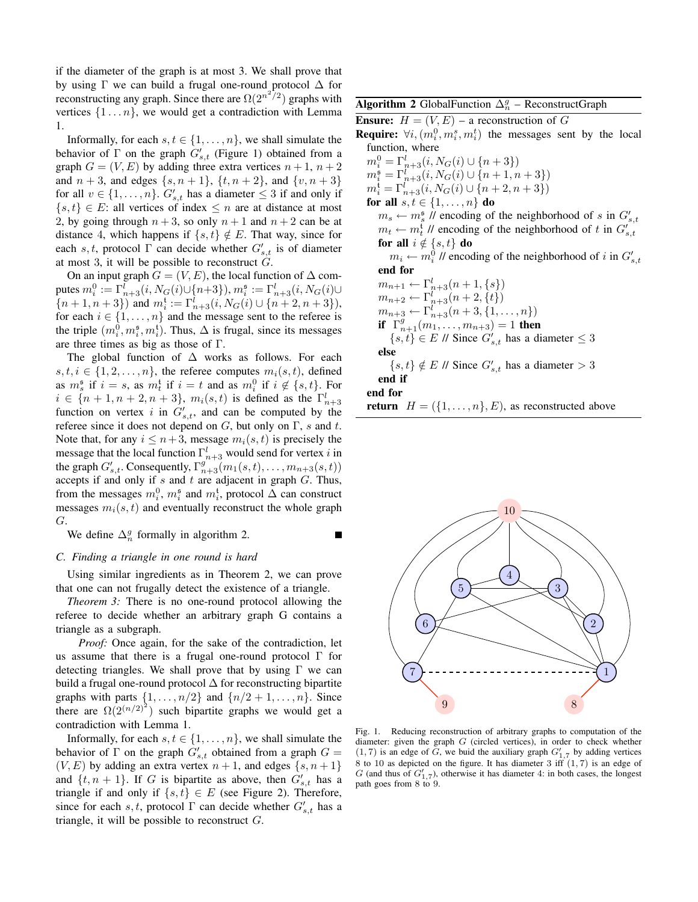if the diameter of the graph is at most 3. We shall prove that by using  $\Gamma$  we can build a frugal one-round protocol  $\Delta$  for reconstructing any graph. Since there are  $\Omega(2^{n^2/2})$  graphs with vertices  $\{1 \dots n\}$ , we would get a contradiction with Lemma 1.

Informally, for each  $s, t \in \{1, \ldots, n\}$ , we shall simulate the behavior of  $\Gamma$  on the graph  $G'_{s,t}$  (Figure 1) obtained from a graph  $G = (V, E)$  by adding three extra vertices  $n + 1$ ,  $n + 2$ and  $n + 3$ , and edges  $\{s, n + 1\}$ ,  $\{t, n + 2\}$ , and  $\{v, n + 3\}$ for all  $v \in \{1, \ldots, n\}$ .  $G'_{s,t}$  has a diameter  $\leq 3$  if and only if  $\{s, t\} \in E$ : all vertices of index  $\leq n$  are at distance at most 2, by going through  $n + 3$ , so only  $n + 1$  and  $n + 2$  can be at distance 4, which happens if  $\{s, t\} \notin E$ . That way, since for each *s*, *t*, protocol  $\Gamma$  can decide whether  $G'_{s,t}$  is of diameter at most 3, it will be possible to reconstruct  $\hat{G}$ .

On an input graph  $G = (V, E)$ , the local function of  $\Delta$  com- ${\rm putes~} m_i^0 := \Gamma_{n+3}^l(i, N_G(i) \cup \{n+3\}), m_i^{\mathfrak{s}} := \Gamma_{n+3}^l(i, N_G(i) \cup \{n+3\})$  ${n + 1, n + 3}$ ) and  $m_i^t := \Gamma_{n+3}^l(i, N_G(i) \cup {n + 2, n + 3}),$ for each  $i \in \{1, \ldots, n\}$  and the message sent to the referee is the triple  $(m_i^0, m_i^s, m_i^t)$ . Thus,  $\Delta$  is frugal, since its messages are three times as big as those of Γ.

The global function of  $\Delta$  works as follows. For each  $s, t, i \in \{1, 2, \ldots, n\}$ , the referee computes  $m_i(s, t)$ , defined as  $m_s^{\mathfrak{s}}$  if  $i = s$ , as  $m_t^{\mathfrak{t}}$  if  $i = t$  and as  $m_i^0$  if  $i \notin \{s, t\}$ . For  $i \in \{n+1, n+2, n+3\}$ ,  $m_i(s, t)$  is defined as the  $\Gamma^l_{n+3}$ function on vertex *i* in  $G'_{s,t}$ , and can be computed by the referee since it does not depend on *G*, but only on Γ, *s* and *t*. Note that, for any  $i \leq n+3$ , message  $m_i(s, t)$  is precisely the message that the local function  $\Gamma^l_{n+3}$  would send for vertex *i* in the graph  $G'_{s,t}$ . Consequently,  $\Gamma_{n+3}^{g''(m)}(m_1(s,t), \ldots, m_{n+3}(s,t))$ accepts if and only if *s* and *t* are adjacent in graph *G*. Thus, from the messages  $m_i^0$ ,  $m_i^s$  and  $m_i^t$ , protocol  $\Delta$  can construct messages  $m_i(s, t)$  and eventually reconstruct the whole graph *G*.

We define  $\Delta_n^g$  formally in algorithm 2.

## *C. Finding a triangle in one round is hard*

Using similar ingredients as in Theorem 2, we can prove that one can not frugally detect the existence of a triangle.

*Theorem 3:* There is no one-round protocol allowing the referee to decide whether an arbitrary graph G contains a triangle as a subgraph.

*Proof:* Once again, for the sake of the contradiction, let us assume that there is a frugal one-round protocol Γ for detecting triangles. We shall prove that by using  $\Gamma$  we can build a frugal one-round protocol  $\Delta$  for reconstructing bipartite graphs with parts  $\{1, \ldots, n/2\}$  and  $\{n/2+1, \ldots, n\}$ . Since there are  $\Omega(2^{(n/2)^2})$  such bipartite graphs we would get a contradiction with Lemma 1.

Informally, for each  $s, t \in \{1, \ldots, n\}$ , we shall simulate the behavior of  $\Gamma$  on the graph  $G'_{s,t}$  obtained from a graph  $G =$  $(V, E)$  by adding an extra vertex  $n + 1$ , and edges  $\{s, n + 1\}$ and  $\{t, n+1\}$ . If *G* is bipartite as above, then  $G'_{s,t}$  has a triangle if and only if  $\{s, t\} \in E$  (see Figure 2). Therefore, since for each *s*, *t*, protocol  $\Gamma$  can decide whether  $G'_{s,t}$  has a triangle, it will be possible to reconstruct *G*.

## Algorithm 2 GlobalFunction  $\Delta_n^g$  – ReconstructGraph

**Ensure:**  $H = (V, E)$  – a reconstruction of G

**Require:**  $\forall i, (m_i^0, m_i^s, m_i^t)$  the messages sent by the local function, where

 $m_i^0 = \Gamma_{n+3}^l(i, N_G(i) \cup \{n+3\})$  $m_i^{\mathfrak{s}} = \Gamma_{n+3}^l(i, N_G(i) \cup \{n+1, n+3\})$  $m_i^{\mathfrak{t}} = \Gamma_{n+3}^l(i, N_G(i) \cup \{n+2, n+3\})$ for all  $s, t \in \{1, \ldots, n\}$  do  $m_s \leftarrow m_s^{\mathfrak{s}}$  // encoding of the neighborhood of *s* in  $G'_{s,t}$  $m_t \leftarrow m_t^t$  // encoding of the neighborhood of *t* in  $G'_{s,t}$ for all  $i \notin \{s, t\}$  do  $m_i \leftarrow m_i^0$  // encoding of the neighborhood of *i* in  $G'_{s,t}$ end for  $m_{n+1} \leftarrow \Gamma^l_{n+3}(n+1,\{s\})$ 

 $m_{n+2} \leftarrow \Gamma_{n+3}^l (n+2, \{t\})$  $m_{n+3} \leftarrow \Gamma^l_{n+3}(n+3,\{1,\ldots,n\})$ **if**  $\Gamma_{n+1}^g(m_1, \ldots, m_{n+3})=1$  then  ${s, t}$  ∈ *E* // Since  $G'_{s,t}$  has a diameter ≤ 3 else  ${s, t} \notin E$  // Since  $G'_{s,t}$  has a diameter  $> 3$ 

end if

end for

٠

**return**  $H = (\{1, \ldots, n\}, E)$ , as reconstructed above



Fig. 1. Reducing reconstruction of arbitrary graphs to computation of the diameter: given the graph *G* (circled vertices), in order to check whether  $(1, 7)$  is an edge of *G*, we buid the auxiliary graph  $G'_{1,7}$  by adding vertices 8 to 10 as depicted on the figure. It has diameter  $3 \text{ iff } (1,7)$  is an edge of *G* (and thus of  $G'_{1,7}$ ), otherwise it has diameter 4: in both cases, the longest path goes from 8 to 9.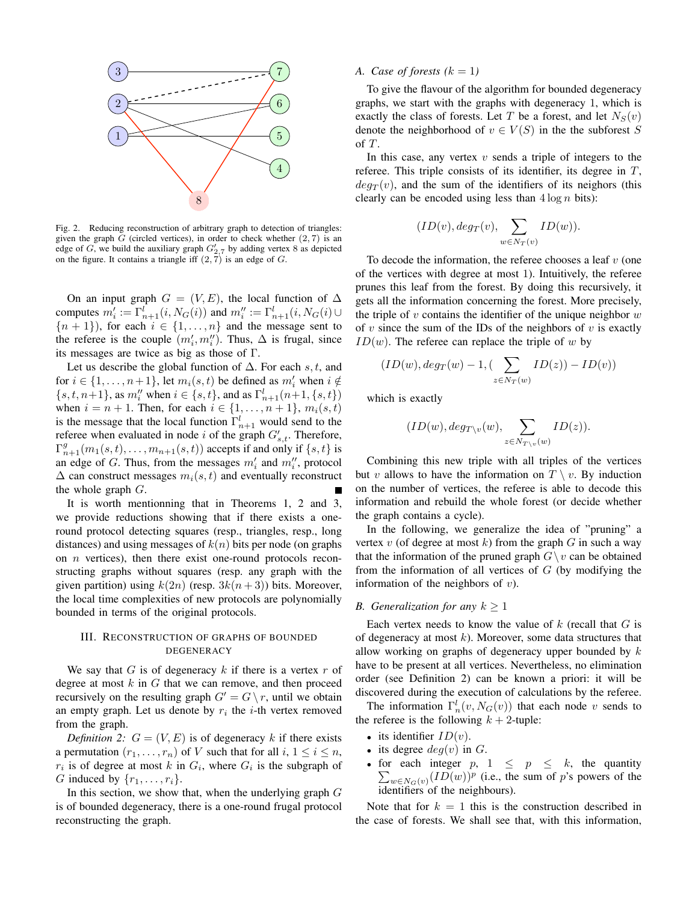

Fig. 2. Reducing reconstruction of arbitrary graph to detection of triangles: given the graph *G* (circled vertices), in order to check whether (2*,* 7) is an edge of *G*, we build the auxiliary graph  $G'_{2,7}$  by adding vertex 8 as depicted on the figure. It contains a triangle iff  $(2, 7)$  is an edge of *G*.

On an input graph  $G = (V, E)$ , the local function of  $\Delta$ computes  $m'_i := \Gamma^l_{n+1}(i, N_G(i))$  and  $m''_i := \Gamma^l_{n+1}(i, N_G(i) \cup$  ${n + 1}$ , for each  $i \in \{1, ..., n\}$  and the message sent to the referee is the couple  $(m'_i, m''_i)$ . Thus,  $\Delta$  is frugal, since its messages are twice as big as those of Γ.

Let us describe the global function of ∆. For each *s, t*, and for  $i \in \{1, \ldots, n+1\}$ , let  $m_i(s, t)$  be defined as  $m'_i$  when  $i \notin$  ${s, t, n+1}$ , as  $m''_i$  when  $i \in {s, t}$ , and as  $\Gamma^l_{n+1}(n+1, {s, t})$ when  $i = n + 1$ . Then, for each  $i \in \{1, ..., n + 1\}$ ,  $m_i(s, t)$ is the message that the local function  $\Gamma^l_{n+1}$  would send to the referee when evaluated in node *i* of the graph  $G'_{s,t}$ . Therefore,  $\Gamma_{n+1}^g(m_1(s,t),\ldots,m_{n+1}(s,t))$  accepts if and only if  $\{s,t\}$  is an edge of *G*. Thus, from the messages  $m'_{i}$  and  $m''_{i}$ , protocol  $\Delta$  can construct messages  $m_i(s, t)$  and eventually reconstruct the whole graph *G*.

It is worth mentionning that in Theorems 1, 2 and 3, we provide reductions showing that if there exists a oneround protocol detecting squares (resp., triangles, resp., long distances) and using messages of *k*(*n*) bits per node (on graphs on *n* vertices), then there exist one-round protocols reconstructing graphs without squares (resp. any graph with the given partition) using  $k(2n)$  (resp.  $3k(n+3)$ ) bits. Moreover, the local time complexities of new protocols are polynomially bounded in terms of the original protocols.

## III. RECONSTRUCTION OF GRAPHS OF BOUNDED DEGENERACY

We say that *G* is of degeneracy  $k$  if there is a vertex  $r$  of degree at most *k* in *G* that we can remove, and then proceed recursively on the resulting graph  $G' = G \setminus r$ , until we obtain an empty graph. Let us denote by  $r_i$  the *i*-th vertex removed from the graph.

*Definition 2:*  $G = (V, E)$  is of degeneracy k if there exists a permutation  $(r_1, \ldots, r_n)$  of *V* such that for all  $i, 1 \le i \le n$ ,  $r_i$  is of degree at most *k* in  $G_i$ , where  $G_i$  is the subgraph of *G* induced by  $\{r_1, \ldots, r_i\}$ .

In this section, we show that, when the underlying graph *G* is of bounded degeneracy, there is a one-round frugal protocol reconstructing the graph.

#### *A.* Case of forests  $(k = 1)$

To give the flavour of the algorithm for bounded degeneracy graphs, we start with the graphs with degeneracy 1, which is exactly the class of forests. Let *T* be a forest, and let  $N_S(v)$ denote the neighborhood of  $v \in V(S)$  in the the subforest *S* of *T*.

In this case, any vertex *v* sends a triple of integers to the referee. This triple consists of its identifier, its degree in *T*,  $deg_T(v)$ , and the sum of the identifiers of its neighors (this clearly can be encoded using less than  $4 \log n$  bits):

$$
(ID(v), deg_T(v), \sum_{w \in N_T(v)} ID(w)).
$$

To decode the information, the referee chooses a leaf *v* (one of the vertices with degree at most 1). Intuitively, the referee prunes this leaf from the forest. By doing this recursively, it gets all the information concerning the forest. More precisely, the triple of *v* contains the identifier of the unique neighbor *w* of *v* since the sum of the IDs of the neighbors of *v* is exactly  $ID(w)$ . The referee can replace the triple of *w* by

$$
(ID(w), deg_T(w) - 1, (\sum_{z \in N_T(w)} ID(z)) - ID(v))
$$

which is exactly

$$
(ID(w), deg_{T \setminus v}(w), \sum_{z \in N_{T \setminus v}(w)} ID(z)).
$$

Combining this new triple with all triples of the vertices but *v* allows to have the information on  $T \setminus v$ . By induction on the number of vertices, the referee is able to decode this information and rebuild the whole forest (or decide whether the graph contains a cycle).

In the following, we generalize the idea of "pruning" a vertex  $v$  (of degree at most  $k$ ) from the graph  $G$  in such a way that the information of the pruned graph  $G \setminus v$  can be obtained from the information of all vertices of *G* (by modifying the information of the neighbors of *v*).

## *B.* Generalization for any  $k \geq 1$

Each vertex needs to know the value of *k* (recall that *G* is of degeneracy at most *k*). Moreover, some data structures that allow working on graphs of degeneracy upper bounded by *k* have to be present at all vertices. Nevertheless, no elimination order (see Definition 2) can be known a priori: it will be discovered during the execution of calculations by the referee.

The information  $\Gamma_n^l(v, N_G(v))$  that each node *v* sends to the referee is the following  $k + 2$ -tuple:

- its identifier  $ID(v)$ .
- its degree  $deg(v)$  in  $G$ .
- for each integer  $p$ ,  $1 \leq p \leq k$ , the quantity  $\sum_{w \in N_G(v)} (ID(w))^p$  (i.e., the sum of *p*'s powers of the identifiers of the neighbours).

Note that for  $k = 1$  this is the construction described in the case of forests. We shall see that, with this information,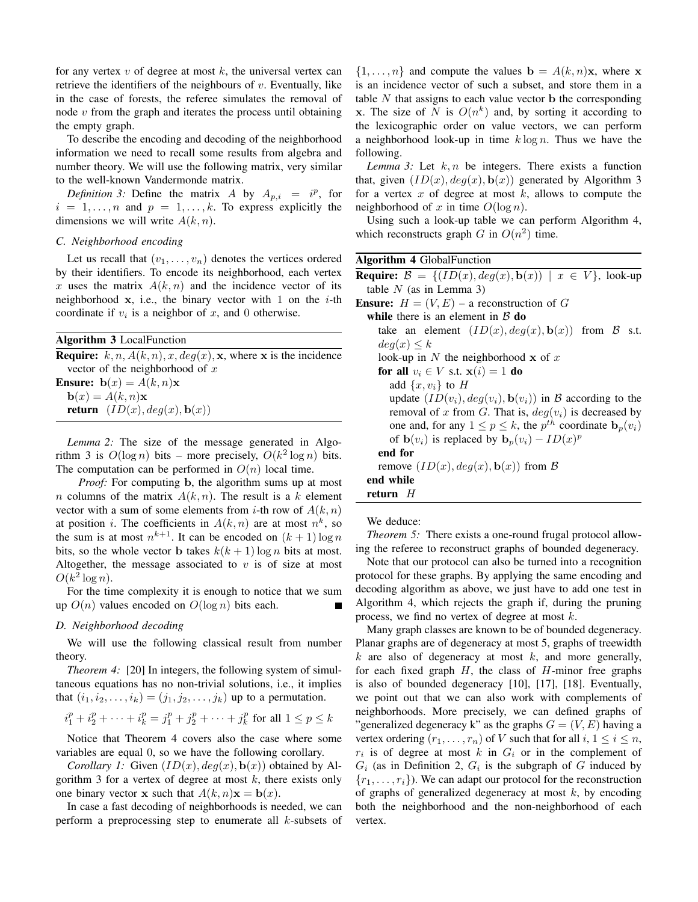for any vertex *v* of degree at most *k*, the universal vertex can retrieve the identifiers of the neighbours of *v*. Eventually, like in the case of forests, the referee simulates the removal of node *v* from the graph and iterates the process until obtaining the empty graph.

To describe the encoding and decoding of the neighborhood information we need to recall some results from algebra and number theory. We will use the following matrix, very similar to the well-known Vandermonde matrix.

*Definition 3:* Define the matrix *A* by  $A_{p,i} = i^p$ , for  $i = 1, \ldots, n$  and  $p = 1, \ldots, k$ . To express explicitly the dimensions we will write *A*(*k, n*).

## *C. Neighborhood encoding*

Let us recall that  $(v_1, \ldots, v_n)$  denotes the vertices ordered by their identifiers. To encode its neighborhood, each vertex x uses the matrix  $A(k, n)$  and the incidence vector of its neighborhood x, i.e., the binary vector with 1 on the *i*-th coordinate if  $v_i$  is a neighbor of  $x$ , and 0 otherwise.

|  |  | <b>Algorithm 3 LocalFunction</b> |
|--|--|----------------------------------|
|--|--|----------------------------------|

**Require:**  $k, n, A(k, n), x, deg(x), x$ , where x is the incidence vector of the neighborhood of *x* **Ensure:**  $\mathbf{b}(x) = A(k, n)\mathbf{x}$  $\mathbf{b}(x) = A(k, n)\mathbf{x}$ return  $(ID(x), deg(x), b(x))$ 

*Lemma 2:* The size of the message generated in Algorithm 3 is  $O(\log n)$  bits – more precisely,  $O(k^2 \log n)$  bits. The computation can be performed in  $O(n)$  local time.

*Proof:* For computing **b**, the algorithm sums up at most *n* columns of the matrix  $A(k, n)$ . The result is a *k* element vector with a sum of some elements from *i*-th row of  $A(k, n)$ at position *i*. The coefficients in  $A(k, n)$  are at most  $n^k$ , so the sum is at most  $n^{k+1}$ . It can be encoded on  $(k+1) \log n$ bits, so the whole vector **b** takes  $k(k + 1) \log n$  bits at most. Altogether, the message associated to  $v$  is of size at most  $O(k^2 \log n)$ .

For the time complexity it is enough to notice that we sum up  $O(n)$  values encoded on  $O(\log n)$  bits each.

## *D. Neighborhood decoding*

We will use the following classical result from number theory.

*Theorem 4:* [20] In integers, the following system of simultaneous equations has no non-trivial solutions, i.e., it implies that  $(i_1, i_2, \ldots, i_k) = (j_1, j_2, \ldots, j_k)$  up to a permutation.

$$
i_1^p + i_2^p + \cdots + i_k^p = j_1^p + j_2^p + \cdots + j_k^p
$$
 for all  $1 \le p \le k$ 

Notice that Theorem 4 covers also the case where some variables are equal 0, so we have the following corollary.

*Corollary 1:* Given  $(ID(x), deq(x), b(x))$  obtained by Algorithm 3 for a vertex of degree at most *k*, there exists only one binary vector **x** such that  $A(k, n)\mathbf{x} = \mathbf{b}(x)$ .

In case a fast decoding of neighborhoods is needed, we can perform a preprocessing step to enumerate all *k*-subsets of

 $\{1, \ldots, n\}$  and compute the values  $\mathbf{b} = A(k, n)\mathbf{x}$ , where x is an incidence vector of such a subset, and store them in a table  $N$  that assigns to each value vector  $\bf{b}$  the corresponding x. The size of *N* is  $O(n^k)$  and, by sorting it according to the lexicographic order on value vectors, we can perform a neighborhood look-up in time *k* log *n*. Thus we have the following.

*Lemma 3:* Let *k, n* be integers. There exists a function that, given  $(ID(x), deg(x), b(x))$  generated by Algorithm 3 for a vertex *x* of degree at most *k*, allows to compute the neighborhood of  $x$  in time  $O(\log n)$ .

Using such a look-up table we can perform Algorithm 4, which reconstructs graph *G* in  $O(n^2)$  time.

## Algorithm 4 GlobalFunction

**Require:**  $\mathcal{B} = \{(ID(x), deg(x), \mathbf{b}(x)) | x \in V\}$ , look-up table *N* (as in Lemma 3) **Ensure:**  $H = (V, E)$  – a reconstruction of G while there is an element in  $\beta$  do take an element  $(ID(x), deg(x), \mathbf{b}(x))$  from B s.t.  $deg(x) \leq k$ look-up in *N* the neighborhood x of *x* for all  $v_i \in V$  s.t.  $\mathbf{x}(i) = 1$  do add  $\{x, v_i\}$  to *H* update  $(ID(v_i), deg(v_i), \mathbf{b}(v_i))$  in B according to the removal of *x* from *G*. That is,  $deg(v_i)$  is decreased by one and, for any  $1 \le p \le k$ , the  $p^{th}$  coordinate  $\mathbf{b}_p(v_i)$ of  $\mathbf{b}(v_i)$  is replaced by  $\mathbf{b}_p(v_i) - ID(x)^p$ end for remove  $(ID(x), deg(x), \mathbf{b}(x))$  from  $\beta$ end while return *H*

We deduce:

*Theorem 5:* There exists a one-round frugal protocol allowing the referee to reconstruct graphs of bounded degeneracy.

Note that our protocol can also be turned into a recognition protocol for these graphs. By applying the same encoding and decoding algorithm as above, we just have to add one test in Algorithm 4, which rejects the graph if, during the pruning process, we find no vertex of degree at most *k*.

Many graph classes are known to be of bounded degeneracy. Planar graphs are of degeneracy at most 5, graphs of treewidth *k* are also of degeneracy at most *k*, and more generally, for each fixed graph *H*, the class of *H*-minor free graphs is also of bounded degeneracy [10], [17], [18]. Eventually, we point out that we can also work with complements of neighborhoods. More precisely, we can defined graphs of "generalized degeneracy k" as the graphs  $G = (V, E)$  having a vertex ordering  $(r_1, \ldots, r_n)$  of *V* such that for all  $i, 1 \le i \le n$ ,  $r_i$  is of degree at most  $k$  in  $G_i$  or in the complement of  $G_i$  (as in Definition 2,  $G_i$  is the subgraph of  $G$  induced by  ${r_1, \ldots, r_i}$ ). We can adapt our protocol for the reconstruction of graphs of generalized degeneracy at most *k*, by encoding both the neighborhood and the non-neighborhood of each vertex.